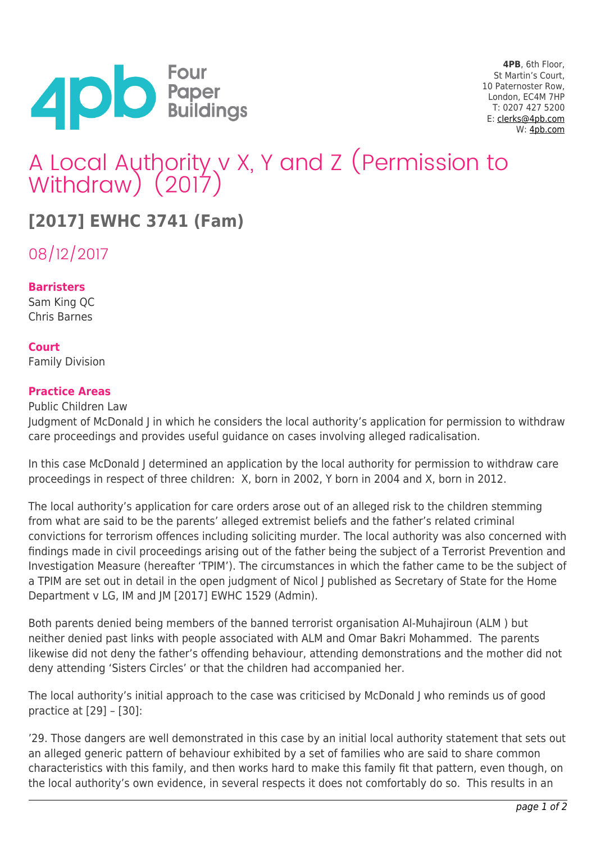

**4PB**, 6th Floor, St Martin's Court, 10 Paternoster Row, London, EC4M 7HP T: 0207 427 5200 E: [clerks@4pb.com](mailto:clerks@4pb.com) W: [4pb.com](http://4pb.com)

# A Local Authority v X, Y and Z (Permission to Withdraw) (2017)

## **[2017] EWHC 3741 (Fam)**

08/12/2017

#### **Barristers**

Sam King QC Chris Barnes

#### **Court**

Family Division

#### **Practice Areas**

Public Children Law Judgment of McDonald J in which he considers the local authority's application for permission to withdraw care proceedings and provides useful guidance on cases involving alleged radicalisation.

In this case McDonald J determined an application by the local authority for permission to withdraw care proceedings in respect of three children: X, born in 2002, Y born in 2004 and X, born in 2012.

The local authority's application for care orders arose out of an alleged risk to the children stemming from what are said to be the parents' alleged extremist beliefs and the father's related criminal convictions for terrorism offences including soliciting murder. The local authority was also concerned with findings made in civil proceedings arising out of the father being the subject of a Terrorist Prevention and Investigation Measure (hereafter 'TPIM'). The circumstances in which the father came to be the subject of a TPIM are set out in detail in the open judgment of Nicol J published as Secretary of State for the Home Department v LG, IM and JM [2017] EWHC 1529 (Admin).

Both parents denied being members of the banned terrorist organisation Al-Muhajiroun (ALM ) but neither denied past links with people associated with ALM and Omar Bakri Mohammed. The parents likewise did not deny the father's offending behaviour, attending demonstrations and the mother did not deny attending 'Sisters Circles' or that the children had accompanied her.

The local authority's initial approach to the case was criticised by McDonald J who reminds us of good practice at [29] – [30]:

'29. Those dangers are well demonstrated in this case by an initial local authority statement that sets out an alleged generic pattern of behaviour exhibited by a set of families who are said to share common characteristics with this family, and then works hard to make this family fit that pattern, even though, on the local authority's own evidence, in several respects it does not comfortably do so. This results in an